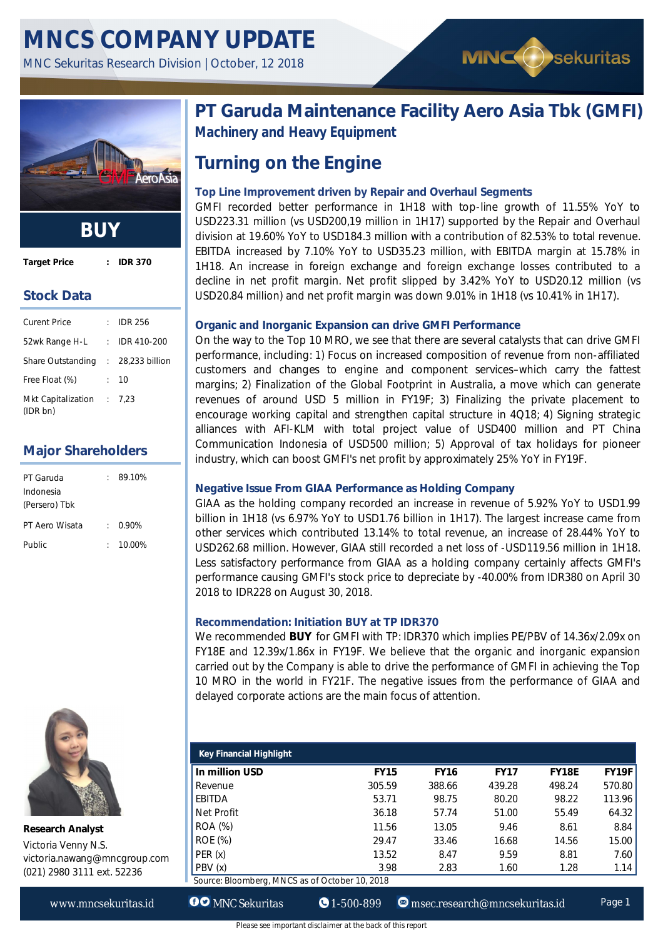

**Target Price : IDR 370**

**Stock Data**

| <b>Curent Price</b>                   |        | <b>IDR 256</b> |
|---------------------------------------|--------|----------------|
| 52wk Range H-L                        | $\sim$ | IDR 410-200    |
| Share Outstanding : 28,233 billion    |        |                |
| Free Float (%)                        |        | : 10           |
| Mkt Capitalization : 7,23<br>(IDR bn) |        |                |

# **Major Shareholders**

| PT Garuda      | 89.10%      |
|----------------|-------------|
| Indonesia      |             |
| (Persero) Tbk  |             |
| PT Aero Wisata | 0.90%       |
| Public         | $: 10.00\%$ |
|                |             |



**Research Analyst** Victoria Venny N.S. victoria.nawang@mncgroup.com (021) 2980 3111 ext. 52236

**PT Garuda Maintenance Facility Aero Asia Tbk (GMFI) Machinery and Heavy Equipment**

**MNCO** sekuritas

# **Turning on the Engine**

# **Top Line Improvement driven by Repair and Overhaul Segments**

GMFI recorded better performance in 1H18 with top-line growth of 11.55% YoY to USD223.31 million (vs USD200,19 million in 1H17) supported by the Repair and Overhaul division at 19.60% YoY to USD184.3 million with a contribution of 82.53% to total revenue. EBITDA increased by 7.10% YoY to USD35.23 million, with EBITDA margin at 15.78% in 1H18. An increase in foreign exchange and foreign exchange losses contributed to a decline in net profit margin. Net profit slipped by 3.42% YoY to USD20.12 million (vs USD20.84 million) and net profit margin was down 9.01% in 1H18 (vs 10.41% in 1H17).

## **Organic and Inorganic Expansion can drive GMFI Performance**

On the way to the Top 10 MRO, we see that there are several catalysts that can drive GMFI performance, including: 1) Focus on increased composition of revenue from non-affiliated customers and changes to engine and component services–which carry the fattest margins; 2) Finalization of the Global Footprint in Australia, a move which can generate revenues of around USD 5 million in FY19F; 3) Finalizing the private placement to encourage working capital and strengthen capital structure in 4Q18; 4) Signing strategic alliances with AFI-KLM with total project value of USD400 million and PT China Communication Indonesia of USD500 million; 5) Approval of tax holidays for pioneer industry, which can boost GMFI's net profit by approximately 25% YoY in FY19F.

## **Negative Issue From GIAA Performance as Holding Company**

GIAA as the holding company recorded an increase in revenue of 5.92% YoY to USD1.99 billion in 1H18 (vs 6.97% YoY to USD1.76 billion in 1H17). The largest increase came from other services which contributed 13.14% to total revenue, an increase of 28.44% YoY to USD262.68 million. However, GIAA still recorded a net loss of -USD119.56 million in 1H18. Less satisfactory performance from GIAA as a holding company certainly affects GMFI's performance causing GMFI's stock price to depreciate by -40.00% from IDR380 on April 30 2018 to IDR228 on August 30, 2018.

### **Recommendation: Initiation BUY at TP IDR370**

We recommended **BUY** for GMFI with TP: IDR370 which implies PE/PBV of 14.36x/2.09x on FY18E and 12.39x/1.86x in FY19F. We believe that the organic and inorganic expansion carried out by the Company is able to drive the performance of GMFI in achieving the Top 10 MRO in the world in FY21F. The negative issues from the performance of GIAA and delayed corporate actions are the main focus of attention.

| <b>Key Financial Highlight</b>                 |             |             |             |              |              |  |  |
|------------------------------------------------|-------------|-------------|-------------|--------------|--------------|--|--|
| In million USD                                 | <b>FY15</b> | <b>FY16</b> | <b>FY17</b> | <b>FY18E</b> | <b>FY19F</b> |  |  |
| Revenue                                        | 305.59      | 388.66      | 439.28      | 498.24       | 570.80       |  |  |
| EBITDA                                         | 53.71       | 98.75       | 80.20       | 98.22        | 113.96       |  |  |
| Net Profit                                     | 36.18       | 57.74       | 51.00       | 55.49        | 64.32        |  |  |
| ROA (%)                                        | 11.56       | 13.05       | 9.46        | 8.61         | 8.84         |  |  |
| <b>ROE</b> (%)                                 | 29.47       | 33.46       | 16.68       | 14.56        | 15.00        |  |  |
| PER(x)                                         | 13.52       | 8.47        | 9.59        | 8.81         | 7.60         |  |  |
| PBV (x)                                        | 3.98        | 2.83        | 1.60        | 1.28         | 1.14         |  |  |
| Source: Bloomberg, MNCS as of October 10, 2018 |             |             |             |              |              |  |  |

www.mncsekuritas.id **OO** MNC Sekuritas **1-500-899** msec.research@mncsekuritas.id Page 1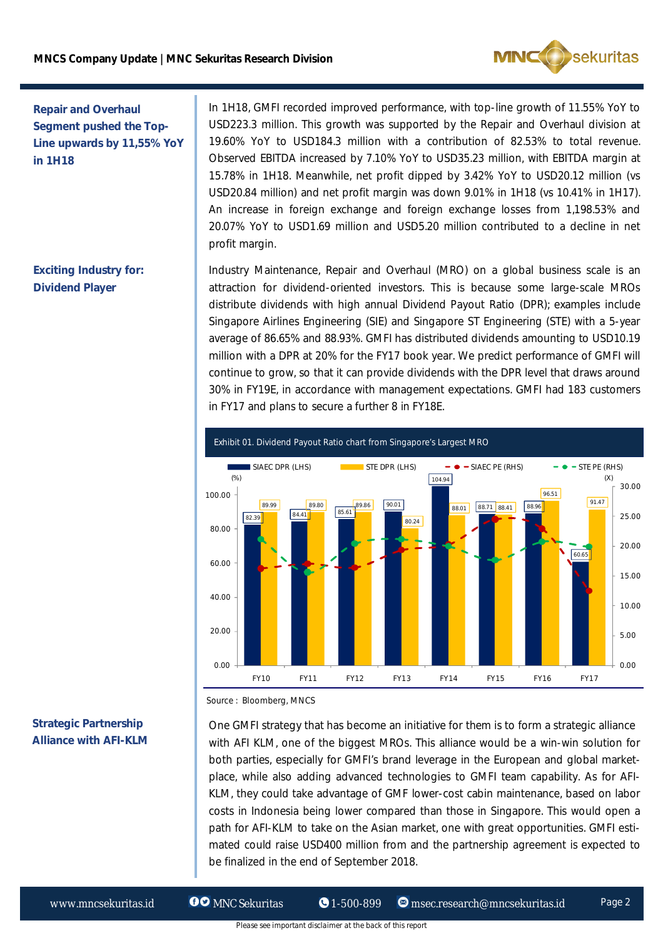

# **Repair and Overhaul Segment pushed the Top-Line upwards by 11,55% YoY in 1H18**

**Exciting Industry for: Dividend Player**

In 1H18, GMFI recorded improved performance, with top-line growth of 11.55% YoY to USD223.3 million. This growth was supported by the Repair and Overhaul division at 19.60% YoY to USD184.3 million with a contribution of 82.53% to total revenue. Observed EBITDA increased by 7.10% YoY to USD35.23 million, with EBITDA margin at 15.78% in 1H18. Meanwhile, net profit dipped by 3.42% YoY to USD20.12 million (vs USD20.84 million) and net profit margin was down 9.01% in 1H18 (vs 10.41% in 1H17). An increase in foreign exchange and foreign exchange losses from 1,198.53% and 20.07% YoY to USD1.69 million and USD5.20 million contributed to a decline in net profit margin.

Industry Maintenance, Repair and Overhaul (MRO) on a global business scale is an attraction for dividend-oriented investors. This is because some large-scale MROs distribute dividends with high annual Dividend Payout Ratio (DPR); examples include Singapore Airlines Engineering (SIE) and Singapore ST Engineering (STE) with a 5-year average of 86.65% and 88.93%. GMFI has distributed dividends amounting to USD10.19 million with a DPR at 20% for the FY17 book year. We predict performance of GMFI will continue to grow, so that it can provide dividends with the DPR level that draws around 30% in FY19E, in accordance with management expectations. GMFI had 183 customers in FY17 and plans to secure a further 8 in FY18E.



Source : Bloomberg, MNCS

# One GMFI strategy that has become an initiative for them is to form a strategic alliance with AFI KLM, one of the biggest MROs. This alliance would be a win-win solution for both parties, especially for GMFI's brand leverage in the European and global marketplace, while also adding advanced technologies to GMFI team capability. As for AFI-KLM, they could take advantage of GMF lower-cost cabin maintenance, based on labor costs in Indonesia being lower compared than those in Singapore. This would open a path for AFI-KLM to take on the Asian market, one with great opportunities. GMFI estimated could raise USD400 million from and the partnership agreement is expected to be finalized in the end of September 2018.

### **Strategic Partnership Alliance with AFI-KLM**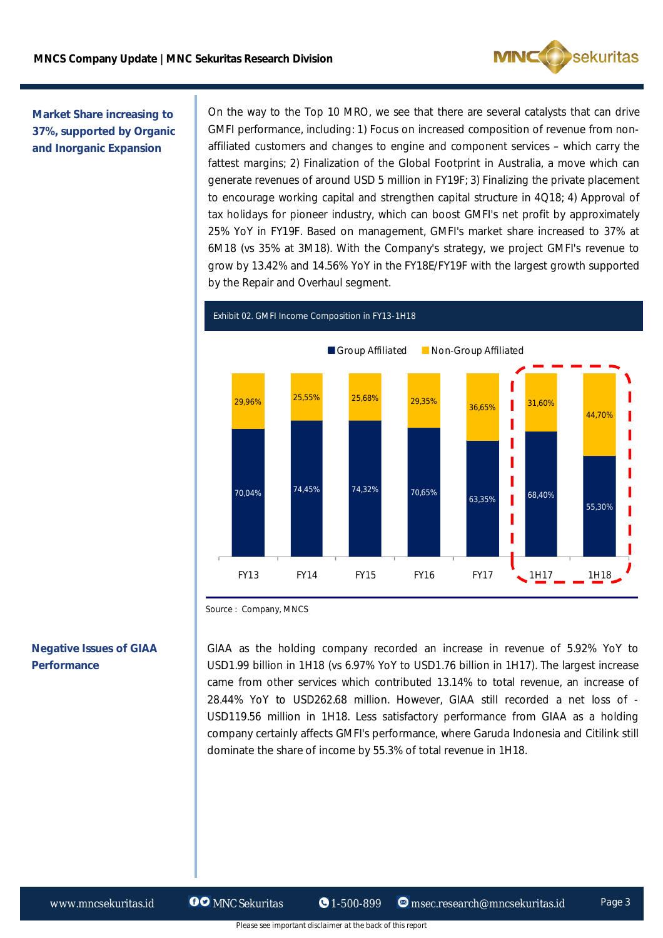

**Market Share increasing to 37%, supported by Organic and Inorganic Expansion**

On the way to the Top 10 MRO, we see that there are several catalysts that can drive GMFI performance, including: 1) Focus on increased composition of revenue from nonaffiliated customers and changes to engine and component services – which carry the fattest margins; 2) Finalization of the Global Footprint in Australia, a move which can generate revenues of around USD 5 million in FY19F; 3) Finalizing the private placement to encourage working capital and strengthen capital structure in 4Q18; 4) Approval of tax holidays for pioneer industry, which can boost GMFI's net profit by approximately 25% YoY in FY19F. Based on management, GMFI's market share increased to 37% at 6M18 (vs 35% at 3M18). With the Company's strategy, we project GMFI's revenue to grow by 13.42% and 14.56% YoY in the FY18E/FY19F with the largest growth supported by the Repair and Overhaul segment.



Exhibit 02. GMFI Income Composition in FY13-1H18

# **Negative Issues of GIAA Performance**

GIAA as the holding company recorded an increase in revenue of 5.92% YoY to USD1.99 billion in 1H18 (vs 6.97% YoY to USD1.76 billion in 1H17). The largest increase came from other services which contributed 13.14% to total revenue, an increase of 28.44% YoY to USD262.68 million. However, GIAA still recorded a net loss of - USD119.56 million in 1H18. Less satisfactory performance from GIAA as a holding company certainly affects GMFI's performance, where Garuda Indonesia and Citilink still dominate the share of income by 55.3% of total revenue in 1H18.

Source : Company, MNCS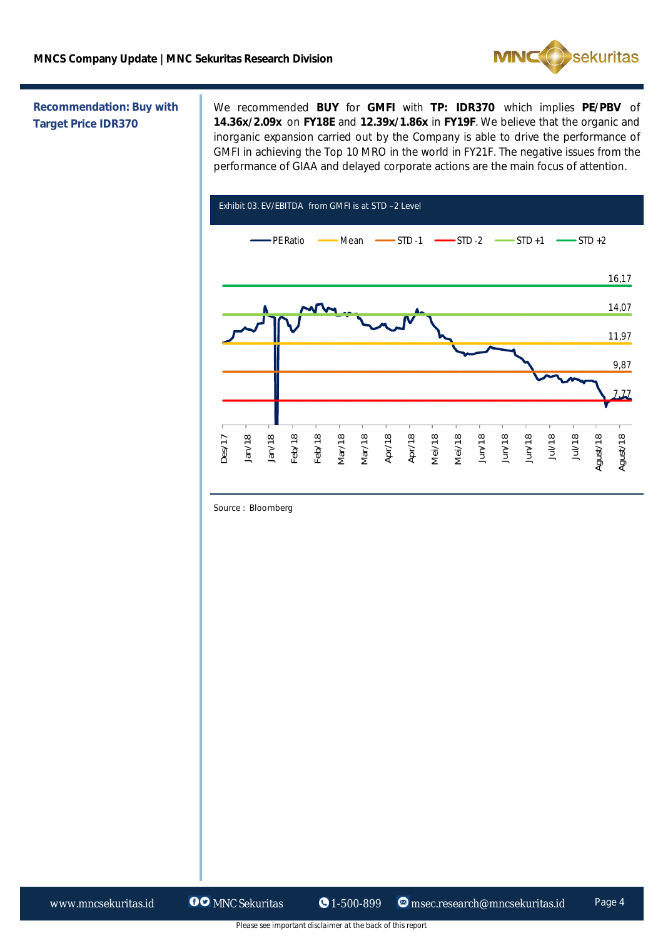

### **Recommendation: Buy with Target Price IDR370**

We recommended **BUY** for **GMFI** with **TP: IDR370** which implies **PE/PBV** of **14.36x/2.09x** on **FY18E** and **12.39x/1.86x** in **FY19F**. We believe that the organic and inorganic expansion carried out by the Company is able to drive the performance of GMFI in achieving the Top 10 MRO in the world in FY21F. The negative issues from the performance of GIAA and delayed corporate actions are the main focus of attention.



Source : Bloomberg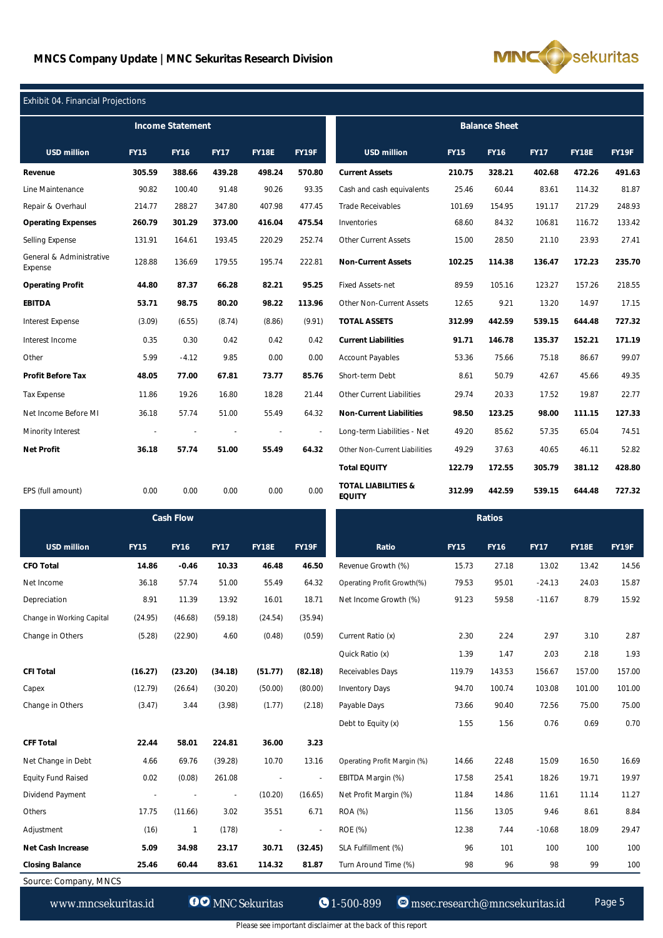

### $E(X) = 0.4$

| LAHDIL 04. FIHAHGIAH FI OJEGHOHS    |                |             |             |                |                          |                                                 |             |             |             |              |              |
|-------------------------------------|----------------|-------------|-------------|----------------|--------------------------|-------------------------------------------------|-------------|-------------|-------------|--------------|--------------|
| <b>Income Statement</b>             |                |             |             |                | <b>Balance Sheet</b>     |                                                 |             |             |             |              |              |
| <b>USD million</b>                  | <b>FY15</b>    | <b>FY16</b> | <b>FY17</b> | <b>FY18E</b>   | FY19F                    | <b>USD million</b>                              | <b>FY15</b> | <b>FY16</b> | <b>FY17</b> | <b>FY18E</b> | FY19F        |
| Revenue                             | 305.59         | 388.66      | 439.28      | 498.24         | 570.80                   | <b>Current Assets</b>                           | 210.75      | 328.21      | 402.68      | 472.26       | 491.63       |
| Line Maintenance                    | 90.82          | 100.40      | 91.48       | 90.26          | 93.35                    | Cash and cash equivalents                       | 25.46       | 60.44       | 83.61       | 114.32       | 81.87        |
| Repair & Overhaul                   | 214.77         | 288.27      | 347.80      | 407.98         | 477.45                   | <b>Trade Receivables</b>                        | 101.69      | 154.95      | 191.17      | 217.29       | 248.93       |
| <b>Operating Expenses</b>           | 260.79         | 301.29      | 373.00      | 416.04         | 475.54                   | Inventories                                     | 68.60       | 84.32       | 106.81      | 116.72       | 133.42       |
| Selling Expense                     | 131.91         | 164.61      | 193.45      | 220.29         | 252.74                   | <b>Other Current Assets</b>                     | 15.00       | 28.50       | 21.10       | 23.93        | 27.41        |
| General & Administrative<br>Expense | 128.88         | 136.69      | 179.55      | 195.74         | 222.81                   | <b>Non-Current Assets</b>                       | 102.25      | 114.38      | 136.47      | 172.23       | 235.70       |
| <b>Operating Profit</b>             | 44.80          | 87.37       | 66.28       | 82.21          | 95.25                    | <b>Fixed Assets-net</b>                         | 89.59       | 105.16      | 123.27      | 157.26       | 218.55       |
| <b>EBITDA</b>                       | 53.71          | 98.75       | 80.20       | 98.22          | 113.96                   | Other Non-Current Assets                        | 12.65       | 9.21        | 13.20       | 14.97        | 17.15        |
| <b>Interest Expense</b>             | (3.09)         | (6.55)      | (8.74)      | (8.86)         | (9.91)                   | <b>TOTAL ASSETS</b>                             | 312.99      | 442.59      | 539.15      | 644.48       | 727.32       |
| Interest Income                     | 0.35           | 0.30        | 0.42        | 0.42           | 0.42                     | <b>Current Liabilities</b>                      | 91.71       | 146.78      | 135.37      | 152.21       | 171.19       |
| Other                               | 5.99           | $-4.12$     | 9.85        | 0.00           | 0.00                     | <b>Account Payables</b>                         | 53.36       | 75.66       | 75.18       | 86.67        | 99.07        |
| <b>Profit Before Tax</b>            | 48.05          | 77.00       | 67.81       | 73.77          | 85.76                    | Short-term Debt                                 | 8.61        | 50.79       | 42.67       | 45.66        | 49.35        |
| <b>Tax Expense</b>                  | 11.86          | 19.26       | 16.80       | 18.28          | 21.44                    | Other Current Liabilities                       | 29.74       | 20.33       | 17.52       | 19.87        | 22.77        |
| Net Income Before MI                | 36.18          | 57.74       | 51.00       | 55.49          | 64.32                    | <b>Non-Current Liabilities</b>                  | 98.50       | 123.25      | 98.00       | 111.15       | 127.33       |
| Minority Interest                   | $\overline{a}$ |             |             | $\overline{a}$ | $\overline{\phantom{a}}$ | Long-term Liabilities - Net                     | 49.20       | 85.62       | 57.35       | 65.04        | 74.51        |
| Net Profit                          | 36.18          | 57.74       | 51.00       | 55.49          | 64.32                    | Other Non-Current Liabilities                   | 49.29       | 37.63       | 40.65       | 46.11        | 52.82        |
|                                     |                |             |             |                |                          | <b>Total EQUITY</b>                             | 122.79      | 172.55      | 305.79      | 381.12       | 428.80       |
| EPS (full amount)                   | 0.00           | 0.00        | 0.00        | 0.00           | 0.00                     | <b>TOTAL LIABILITIES &amp;</b><br><b>EQUITY</b> | 312.99      | 442.59      | 539.15      | 644.48       | 727.32       |
| <b>Cash Flow</b>                    |                |             |             |                | <b>Ratios</b>            |                                                 |             |             |             |              |              |
| <b>USD million</b>                  | <b>FY15</b>    | <b>FY16</b> | <b>FY17</b> | <b>FY18E</b>   | FY19F                    | Ratio                                           | <b>FY15</b> | <b>FY16</b> | <b>FY17</b> | <b>FY18E</b> | <b>FY19F</b> |
| <b>CFO Total</b>                    | 14.86          | $-0.46$     | 10.33       | 46.48          | 46.50                    | Revenue Growth (%)                              | 15.73       | 27.18       | 13.02       | 13.42        | 14.56        |
| Net Income                          | 36.18          | 57.74       | 51.00       | 55.49          | 64.32                    | Operating Profit Growth(%)                      | 79.53       | 95.01       | $-24.13$    | 24.03        | 15.87        |
| Depreciation                        | 8.91           | 11.39       | 13.92       | 16.01          | 18.71                    | Net Income Growth (%)                           | 91.23       | 59.58       | $-11.67$    | 8.79         | 15.92        |
| Change in Working Capital           | (24.95)        | (46.68)     | (59.18)     | (24.54)        | (35.94)                  |                                                 |             |             |             |              |              |
| Change in Others                    | (5.28)         | (22.90)     | 4.60        | (0.48)         | (0.59)                   | Current Ratio (x)                               | 2.30        | 2.24        | 2.97        | 3.10         | 2.87         |
|                                     |                |             |             |                |                          | Quick Ratio (x)                                 | 1.39        | 1.47        | 2.03        | 2.18         | 1.93         |
| <b>CFI Total</b>                    | (16.27)        | (23.20)     | (34.18)     | (51.77)        | (82.18)                  | Receivables Days                                | 119.79      | 143.53      | 156.67      | 157.00       | 157.00       |
| Capex                               | (12.79)        | (26.64)     | (30.20)     | (50.00)        | (80.00)                  | <b>Inventory Days</b>                           | 94.70       | 100.74      | 103.08      | 101.00       | 101.00       |
| Change in Others                    | (3.47)         | 3.44        | (3.98)      | (1.77)         | (2.18)                   | Payable Days                                    | 73.66       | 90.40       | 72.56       | 75.00        | 75.00        |
|                                     |                |             |             |                |                          | Debt to Equity (x)                              | 1.55        | 1.56        | 0.76        | 0.69         | 0.70         |
| <b>CFF Total</b>                    | 22.44          | 58.01       | 224.81      | 36.00          | 3.23                     |                                                 |             |             |             |              |              |
| Net Change in Debt                  | 4.66           | 69.76       | (39.28)     | 10.70          | 13.16                    | Operating Profit Margin (%)                     | 14.66       | 22.48       | 15.09       | 16.50        | 16.69        |
| <b>Equity Fund Raised</b>           | 0.02           | (0.08)      | 261.08      |                | $\blacksquare$           | EBITDA Margin (%)                               | 17.58       | 25.41       | 18.26       | 19.71        | 19.97        |

Source: Company, MNCS

www.mncsekuritas.id **CO** MNC Sekuritas **1-500-899 M**nsec.research@mncsekuritas.id Page 5

Dividend Payment - - - (10.20) (16.65) Net Profit Margin (%) 11.84 14.86 11.61 11.14 11.27 Others 17.75 (11.66) 3.02 35.51 6.71 ROA (%) 11.56 13.05 9.46 8.61 8.84 Adjustment (16) 1 (178) - - ROE (%) 12.38 7.44 -10.68 18.09 29.47 **Net Cash Increase 5.09 34.98 23.17 30.71 (32.45)** SLA Fulfillment (%) 96 101 100 100 100 **Closing Balance 25.46 60.44 83.61 114.32 81.87** Turn Around Time (%) 98 96 98 99 100